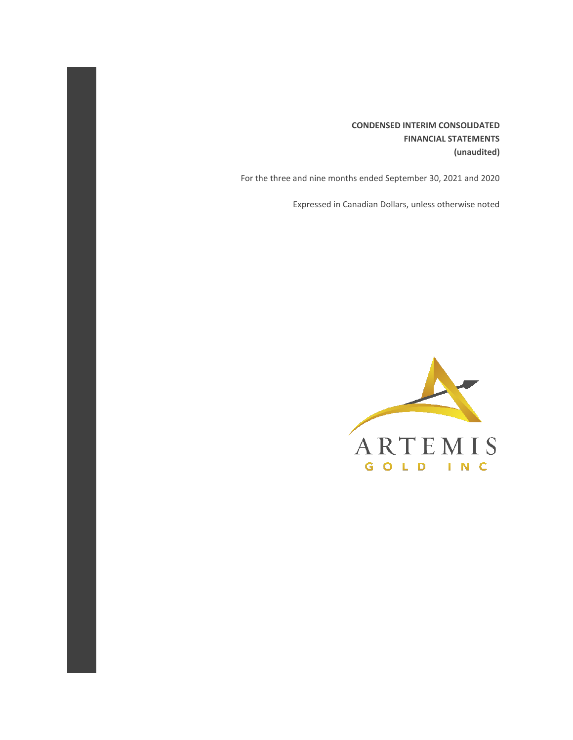**CONDENSED INTERIM CONSOLIDATED FINANCIAL STATEMENTS (unaudited)**

For the three and nine months ended September 30, 2021 and 2020

Expressed in Canadian Dollars, unless otherwise noted

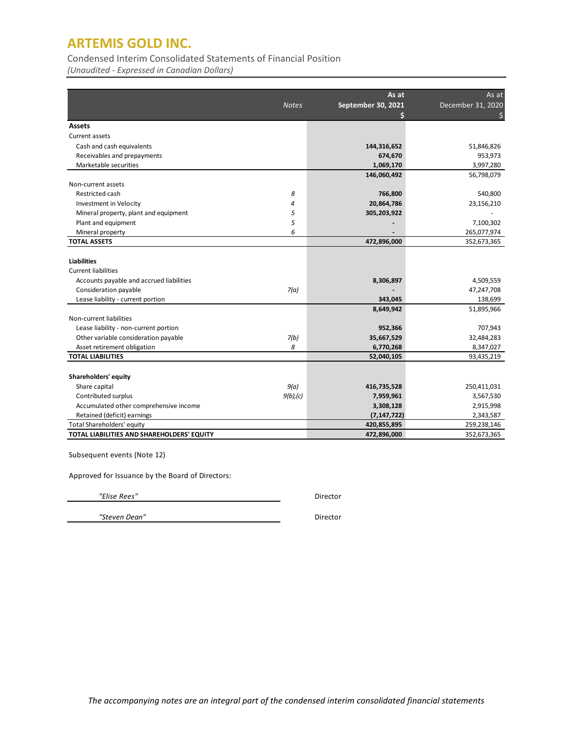Condensed Interim Consolidated Statements of Financial Position

*(Unaudited - Expressed in Canadian Dollars)*

|                                            |              | As at                   | As at             |
|--------------------------------------------|--------------|-------------------------|-------------------|
|                                            | <b>Notes</b> | September 30, 2021<br>Ś | December 31, 2020 |
| <b>Assets</b>                              |              |                         |                   |
| Current assets                             |              |                         |                   |
| Cash and cash equivalents                  |              | 144,316,652             | 51,846,826        |
| Receivables and prepayments                |              | 674,670                 | 953,973           |
| Marketable securities                      |              | 1,069,170               | 3,997,280         |
|                                            |              | 146,060,492             | 56,798,079        |
| Non-current assets                         |              |                         |                   |
| Restricted cash                            | 8            | 766,800                 | 540,800           |
| <b>Investment in Velocity</b>              | 4            | 20,864,786              | 23,156,210        |
| Mineral property, plant and equipment      | 5            | 305,203,922             |                   |
| Plant and equipment                        | 5            |                         | 7,100,302         |
| Mineral property                           | 6            |                         | 265,077,974       |
| <b>TOTAL ASSETS</b>                        |              | 472,896,000             | 352,673,365       |
|                                            |              |                         |                   |
| <b>Liabilities</b>                         |              |                         |                   |
| <b>Current liabilities</b>                 |              |                         |                   |
| Accounts payable and accrued liabilities   |              | 8,306,897               | 4,509,559         |
| Consideration payable                      | 7(a)         |                         | 47,247,708        |
| Lease liability - current portion          |              | 343,045                 | 138,699           |
|                                            |              | 8,649,942               | 51,895,966        |
| Non-current liabilities                    |              |                         |                   |
| Lease liability - non-current portion      |              | 952,366                 | 707,943           |
| Other variable consideration payable       | 7(b)         | 35,667,529              | 32,484,283        |
| Asset retirement obligation                | 8            | 6,770,268               | 8,347,027         |
| <b>TOTAL LIABILITIES</b>                   |              | 52,040,105              | 93,435,219        |
|                                            |              |                         |                   |
| Shareholders' equity                       |              |                         |                   |
| Share capital                              | 9(a)         | 416,735,528             | 250,411,031       |
| Contributed surplus                        | 9(b)/(c)     | 7,959,961               | 3,567,530         |
| Accumulated other comprehensive income     |              | 3,308,128               | 2,915,998         |
| Retained (deficit) earnings                |              | (7, 147, 722)           | 2,343,587         |
| Total Shareholders' equity                 |              | 420,855,895             | 259,238,146       |
| TOTAL LIABILITIES AND SHAREHOLDERS' EQUITY |              | 472,896,000             | 352,673,365       |

Subsequent events (Note 12)

Approved for Issuance by the Board of Directors:

 *"Elise Rees"* Director

 *"Steven Dean"* Director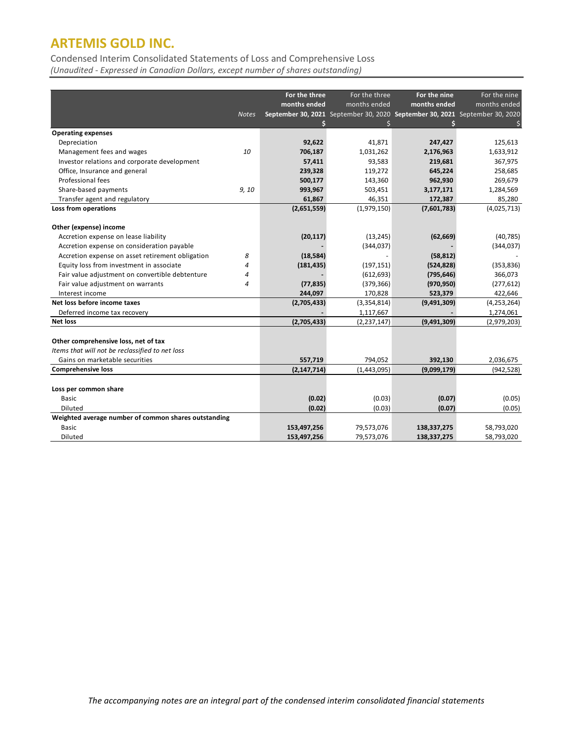Condensed Interim Consolidated Statements of Loss and Comprehensive Loss

*(Unaudited - Expressed in Canadian Dollars, except number of shares outstanding)*

| For the three<br>For the three<br>For the nine<br>For the nine<br>months ended<br>months ended<br>months ended<br>months ended<br>September 30, 2021 September 30, 2020 September 30, 2021 September 30, 2020<br>Notes<br>Ś<br><b>Operating expenses</b><br>125,613<br>Depreciation<br>92,622<br>41.871<br>247,427 |
|--------------------------------------------------------------------------------------------------------------------------------------------------------------------------------------------------------------------------------------------------------------------------------------------------------------------|
|                                                                                                                                                                                                                                                                                                                    |
|                                                                                                                                                                                                                                                                                                                    |
|                                                                                                                                                                                                                                                                                                                    |
|                                                                                                                                                                                                                                                                                                                    |
|                                                                                                                                                                                                                                                                                                                    |
|                                                                                                                                                                                                                                                                                                                    |
| Management fees and wages<br>10<br>1,633,912<br>706,187<br>1,031,262<br>2,176,963                                                                                                                                                                                                                                  |
| Investor relations and corporate development<br>57,411<br>93,583<br>219,681<br>367,975                                                                                                                                                                                                                             |
| Office, Insurance and general<br>119,272<br>645,224<br>258,685<br>239,328                                                                                                                                                                                                                                          |
| Professional fees<br>269,679<br>500,177<br>143,360<br>962,930                                                                                                                                                                                                                                                      |
| Share-based payments<br>9, 10<br>993,967<br>1,284,569<br>503,451<br>3,177,171                                                                                                                                                                                                                                      |
| 85,280<br>Transfer agent and regulatory<br>61,867<br>46,351<br>172,387                                                                                                                                                                                                                                             |
| (4,025,713)<br>Loss from operations<br>(2,651,559)<br>(1,979,150)<br>(7,601,783)                                                                                                                                                                                                                                   |
|                                                                                                                                                                                                                                                                                                                    |
| Other (expense) income                                                                                                                                                                                                                                                                                             |
| Accretion expense on lease liability<br>(40, 785)<br>(20, 117)<br>(13, 245)<br>(62, 669)                                                                                                                                                                                                                           |
| Accretion expense on consideration payable<br>(344, 037)<br>(344, 037)                                                                                                                                                                                                                                             |
| Accretion expense on asset retirement obligation<br>8<br>(18, 584)<br>(58, 812)                                                                                                                                                                                                                                    |
| Equity loss from investment in associate<br>(181, 435)<br>(197, 151)<br>(524, 828)<br>(353, 836)<br>4                                                                                                                                                                                                              |
| Fair value adjustment on convertible debtenture<br>366,073<br>(612, 693)<br>(795, 646)<br>4                                                                                                                                                                                                                        |
| Fair value adjustment on warrants<br>(379, 366)<br>(970, 950)<br>(277, 612)<br>4<br>(77, 835)                                                                                                                                                                                                                      |
| 244,097<br>523,379<br>422,646<br>Interest income<br>170,828                                                                                                                                                                                                                                                        |
| Net loss before income taxes<br>(4, 253, 264)<br>(2,705,433)<br>(3,354,814)<br>(9,491,309)                                                                                                                                                                                                                         |
| Deferred income tax recovery<br>1,117,667<br>1,274,061                                                                                                                                                                                                                                                             |
| <b>Net loss</b><br>(2,705,433)<br>(9,491,309)<br>(2,979,203)<br>(2, 237, 147)                                                                                                                                                                                                                                      |
|                                                                                                                                                                                                                                                                                                                    |
| Other comprehensive loss, net of tax                                                                                                                                                                                                                                                                               |
| Items that will not be reclassified to net loss                                                                                                                                                                                                                                                                    |
| Gains on marketable securities<br>557,719<br>794,052<br>392,130<br>2,036,675                                                                                                                                                                                                                                       |
| <b>Comprehensive loss</b><br>(942, 528)<br>(2, 147, 714)<br>(1,443,095)<br>(9,099,179)                                                                                                                                                                                                                             |
|                                                                                                                                                                                                                                                                                                                    |
| Loss per common share                                                                                                                                                                                                                                                                                              |
| <b>Basic</b><br>(0.02)<br>(0.03)<br>(0.07)<br>(0.05)                                                                                                                                                                                                                                                               |
| (0.02)<br>(0.03)<br>(0.07)<br>(0.05)<br>Diluted                                                                                                                                                                                                                                                                    |
| Weighted average number of common shares outstanding                                                                                                                                                                                                                                                               |
| <b>Basic</b><br>153,497,256<br>79,573,076<br>58,793,020<br>138,337,275                                                                                                                                                                                                                                             |
| Diluted<br>153,497,256<br>79,573,076<br>138,337,275<br>58,793,020                                                                                                                                                                                                                                                  |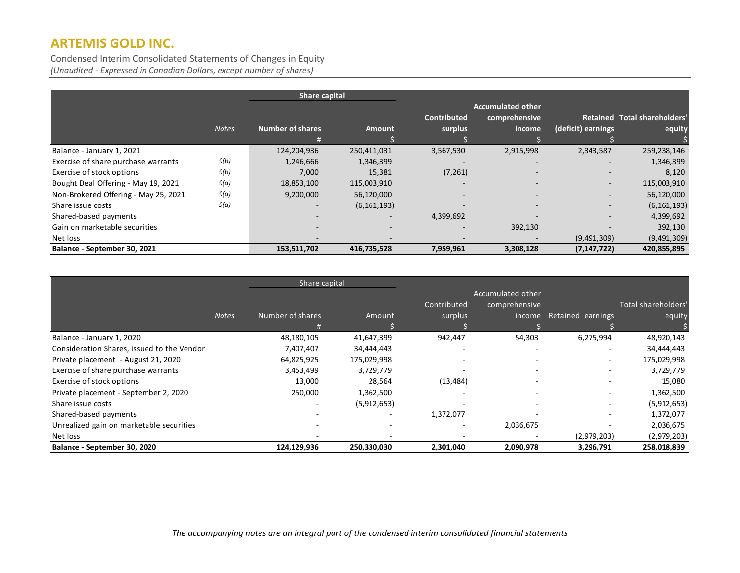Condensed Interim Consolidated Statements of Changes in Equity *(Unaudited - Expressed in Canadian Dollars, except number of shares)*

|                                      | Share capital |                          |               |                               |                                                     |                          |                                        |
|--------------------------------------|---------------|--------------------------|---------------|-------------------------------|-----------------------------------------------------|--------------------------|----------------------------------------|
|                                      | <b>Notes</b>  | <b>Number of shares</b>  | <b>Amount</b> | <b>Contributed</b><br>surplus | <b>Accumulated other</b><br>comprehensive<br>income | (deficit) earnings       | Retained Total shareholders'<br>equity |
| Balance - January 1, 2021            |               | 124,204,936              | 250,411,031   | 3,567,530                     | 2,915,998                                           | 2,343,587                | 259,238,146                            |
| Exercise of share purchase warrants  | 9(b)          | 1,246,666                | 1,346,399     |                               |                                                     |                          | 1,346,399                              |
| Exercise of stock options            | 9(b)          | 7,000                    | 15,381        | (7, 261)                      | $\overline{\phantom{a}}$                            | $\overline{\phantom{0}}$ | 8,120                                  |
| Bought Deal Offering - May 19, 2021  | 9(a)          | 18,853,100               | 115,003,910   | $\overline{\phantom{a}}$      |                                                     | $\overline{\phantom{a}}$ | 115,003,910                            |
| Non-Brokered Offering - May 25, 2021 | 9(a)          | 9,200,000                | 56,120,000    | $\overline{\phantom{a}}$      |                                                     | $\overline{\phantom{a}}$ | 56,120,000                             |
| Share issue costs                    | 9(a)          |                          | (6, 161, 193) | $\overline{\phantom{0}}$      |                                                     | $\overline{\phantom{a}}$ | (6, 161, 193)                          |
| Shared-based payments                |               |                          |               | 4,399,692                     |                                                     |                          | 4,399,692                              |
| Gain on marketable securities        |               | $\overline{\phantom{0}}$ |               | $\overline{\phantom{a}}$      | 392,130                                             |                          | 392,130                                |
| Net loss                             |               |                          |               |                               |                                                     | (9,491,309)              | (9,491,309)                            |
| Balance - September 30, 2021         |               | 153,511,702              | 416,735,528   | 7,959,961                     | 3,308,128                                           | (7, 147, 722)            | 420,855,895                            |

|                                            |              | Share capital    |             |                          |                   |                          |                     |
|--------------------------------------------|--------------|------------------|-------------|--------------------------|-------------------|--------------------------|---------------------|
|                                            |              |                  |             |                          | Accumulated other |                          |                     |
|                                            |              |                  |             | Contributed              | comprehensive     |                          | Total shareholders' |
|                                            | <b>Notes</b> | Number of shares | Amount      | surplus                  | income            | Retained earnings        | equity              |
|                                            |              |                  |             |                          |                   |                          |                     |
| Balance - January 1, 2020                  |              | 48,180,105       | 41,647,399  | 942,447                  | 54,303            | 6,275,994                | 48,920,143          |
| Consideration Shares, issued to the Vendor |              | 7,407,407        | 34,444,443  |                          |                   | $\overline{\phantom{a}}$ | 34,444,443          |
| Private placement - August 21, 2020        |              | 64,825,925       | 175,029,998 | $\overline{\phantom{0}}$ |                   | ۰                        | 175,029,998         |
| Exercise of share purchase warrants        |              | 3,453,499        | 3,729,779   | $\overline{\phantom{a}}$ |                   |                          | 3,729,779           |
| Exercise of stock options                  |              | 13,000           | 28,564      | (13, 484)                |                   |                          | 15,080              |
| Private placement - September 2, 2020      |              | 250,000          | 1,362,500   |                          |                   | ٠                        | 1,362,500           |
| Share issue costs                          |              |                  | (5,912,653) | $\overline{\phantom{0}}$ |                   | ٠                        | (5,912,653)         |
| Shared-based payments                      |              |                  |             | 1,372,077                |                   | $\overline{\phantom{0}}$ | 1,372,077           |
| Unrealized gain on marketable securities   |              |                  |             |                          | 2,036,675         |                          | 2,036,675           |
| Net loss                                   |              |                  |             |                          |                   | (2,979,203)              | (2,979,203)         |
| Balance - September 30, 2020               |              | 124,129,936      | 250,330,030 | 2,301,040                | 2,090,978         | 3,296,791                | 258,018,839         |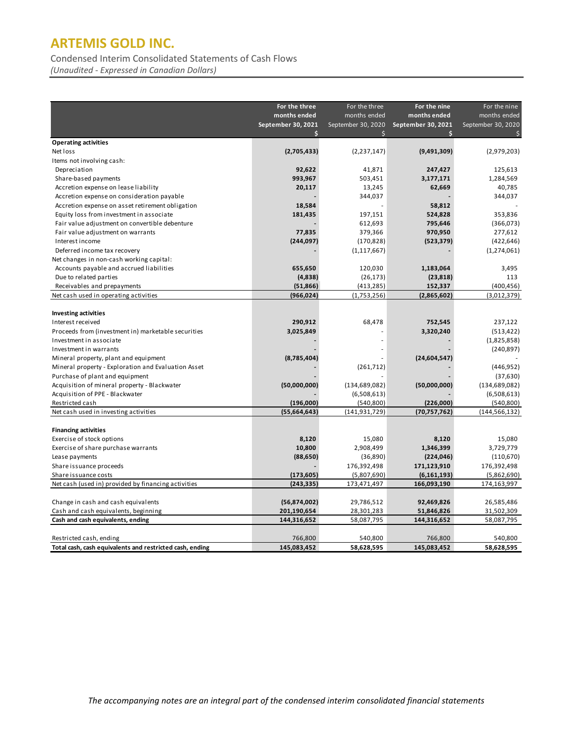Condensed Interim Consolidated Statements of Cash Flows

*(Unaudited - Expressed in Canadian Dollars)*

|                                                          | For the three      | For the three      | For the nine       | For the nine       |
|----------------------------------------------------------|--------------------|--------------------|--------------------|--------------------|
|                                                          | months ended       | months ended       | months ended       | months ended       |
|                                                          | September 30, 2021 | September 30, 2020 | September 30, 2021 | September 30, 2020 |
|                                                          | Ś                  | Ś                  | Ś                  |                    |
| <b>Operating activities</b>                              |                    |                    |                    |                    |
| Net loss                                                 | (2,705,433)        | (2, 237, 147)      | (9,491,309)        | (2,979,203)        |
| Items not involving cash:                                |                    |                    |                    |                    |
| Depreciation                                             | 92,622             | 41,871             | 247,427            | 125,613            |
| Share-based payments                                     | 993,967            | 503,451            | 3,177,171          | 1,284,569          |
| Accretion expense on lease liability                     | 20,117             | 13,245             | 62,669             | 40,785             |
| Accretion expense on consideration payable               |                    | 344,037            |                    | 344,037            |
| Accretion expense on asset retirement obligation         | 18,584             |                    | 58,812             |                    |
| Equity loss from investment in associate                 | 181,435            | 197,151            | 524,828            | 353,836            |
| Fair value adjustment on convertible debenture           |                    | 612,693            | 795,646            | (366,073)          |
| Fair value adjustment on warrants                        | 77,835             | 379,366            | 970,950            | 277,612            |
| Interest income                                          | (244, 097)         | (170, 828)         | (523, 379)         | (422, 646)         |
| Deferred income tax recovery                             |                    | (1, 117, 667)      |                    | (1, 274, 061)      |
| Net changes in non-cash working capital:                 |                    |                    |                    |                    |
| Accounts payable and accrued liabilities                 | 655,650            | 120,030            | 1,183,064          | 3,495              |
| Due to related parties                                   | (4,838)            | (26, 173)          | (23, 818)          | 113                |
| Receivables and prepayments                              | (51, 866)          | (413, 285)         | 152,337            | (400, 456)         |
| Net cash used in operating activities                    | (966, 024)         | (1,753,256)        | (2,865,602)        | (3,012,379)        |
|                                                          |                    |                    |                    |                    |
| <b>Investing activities</b>                              |                    |                    |                    |                    |
| Interest received                                        | 290,912            | 68,478             | 752,545            | 237,122            |
| Proceeds from (investment in) marketable securities      | 3,025,849          |                    | 3,320,240          | (513, 422)         |
| Investment in associate                                  |                    |                    |                    | (1,825,858)        |
| Investment in warrants                                   |                    |                    |                    | (240, 897)         |
| Mineral property, plant and equipment                    | (8,785,404)        |                    | (24, 604, 547)     |                    |
| Mineral property - Exploration and Evaluation Asset      |                    | (261, 712)         |                    | (446, 952)         |
| Purchase of plant and equipment                          |                    |                    |                    | (37, 630)          |
| Acquisition of mineral property - Blackwater             | (50,000,000)       | (134, 689, 082)    | (50,000,000)       | (134, 689, 082)    |
| Acquisition of PPE - Blackwater                          |                    | (6,508,613)        |                    | (6,508,613)        |
| Restricted cash                                          | (196,000)          | (540, 800)         | (226,000)          | (540, 800)         |
| Net cash used in investing activities                    | (55,664,643)       | (141, 931, 729)    | (70, 757, 762)     | (144, 566, 132)    |
|                                                          |                    |                    |                    |                    |
| <b>Financing activities</b>                              |                    |                    |                    |                    |
| Exercise of stock options                                | 8,120              | 15,080             | 8,120              | 15,080             |
| Exercise of share purchase warrants                      | 10,800             | 2,908,499          | 1,346,399          | 3,729,779          |
| Lease payments                                           | (88, 650)          | (36, 890)          | (224, 046)         | (110, 670)         |
| Share issuance proceeds                                  |                    | 176,392,498        | 171,123,910        | 176,392,498        |
| Share issuance costs                                     | (173, 605)         | (5,807,690)        | (6, 161, 193)      | (5,862,690)        |
| Net cash (used in) provided by financing activities      | (243, 335)         | 173,471,497        | 166,093,190        | 174,163,997        |
|                                                          |                    |                    |                    |                    |
| Change in cash and cash equivalents                      | (56,874,002)       | 29,786,512         | 92,469,826         | 26,585,486         |
| Cash and cash equivalents, beginning                     | 201,190,654        | 28,301,283         | 51,846,826         | 31,502,309         |
| Cash and cash equivalents, ending                        | 144,316,652        | 58,087,795         | 144,316,652        | 58,087,795         |
|                                                          |                    |                    |                    |                    |
| Restricted cash, ending                                  | 766,800            | 540,800            | 766,800            | 540,800            |
| Total cash, cash equivalents and restricted cash, ending | 145,083,452        | 58,628,595         | 145,083,452        | 58,628,595         |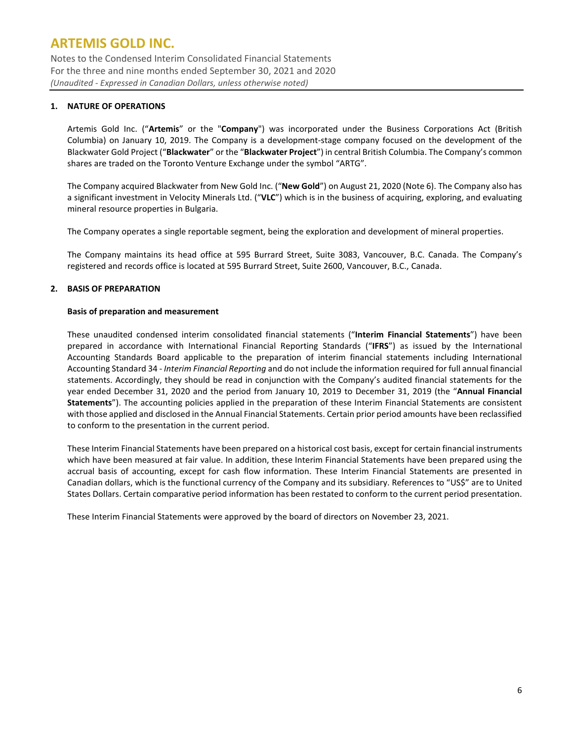Notes to the Condensed Interim Consolidated Financial Statements For the three and nine months ended September 30, 2021 and 2020 *(Unaudited - Expressed in Canadian Dollars, unless otherwise noted)*

### **1. NATURE OF OPERATIONS**

Artemis Gold Inc. ("**Artemis**" or the "**Company**") was incorporated under the Business Corporations Act (British Columbia) on January 10, 2019. The Company is a development-stage company focused on the development of the Blackwater Gold Project ("**Blackwater**" or the "**Blackwater Project**") in central British Columbia. The Company's common shares are traded on the Toronto Venture Exchange under the symbol "ARTG".

The Company acquired Blackwater from New Gold Inc. ("**New Gold**") on August 21, 2020 (Note 6). The Company also has a significant investment in Velocity Minerals Ltd. ("**VLC**") which is in the business of acquiring, exploring, and evaluating mineral resource properties in Bulgaria.

The Company operates a single reportable segment, being the exploration and development of mineral properties.

The Company maintains its head office at 595 Burrard Street, Suite 3083, Vancouver, B.C. Canada. The Company's registered and records office is located at 595 Burrard Street, Suite 2600, Vancouver, B.C., Canada.

### **2. BASIS OF PREPARATION**

#### **Basis of preparation and measurement**

These unaudited condensed interim consolidated financial statements ("**Interim Financial Statements**") have been prepared in accordance with International Financial Reporting Standards ("**IFRS**") as issued by the International Accounting Standards Board applicable to the preparation of interim financial statements including International Accounting Standard 34 - *Interim Financial Reporting* and do not include the information required for full annual financial statements. Accordingly, they should be read in conjunction with the Company's audited financial statements for the year ended December 31, 2020 and the period from January 10, 2019 to December 31, 2019 (the "**Annual Financial Statements**"). The accounting policies applied in the preparation of these Interim Financial Statements are consistent with those applied and disclosed in the Annual Financial Statements. Certain prior period amounts have been reclassified to conform to the presentation in the current period.

These Interim Financial Statements have been prepared on a historical cost basis, except for certain financial instruments which have been measured at fair value. In addition, these Interim Financial Statements have been prepared using the accrual basis of accounting, except for cash flow information. These Interim Financial Statements are presented in Canadian dollars, which is the functional currency of the Company and its subsidiary. References to "US\$" are to United States Dollars. Certain comparative period information has been restated to conform to the current period presentation.

These Interim Financial Statements were approved by the board of directors on November 23, 2021.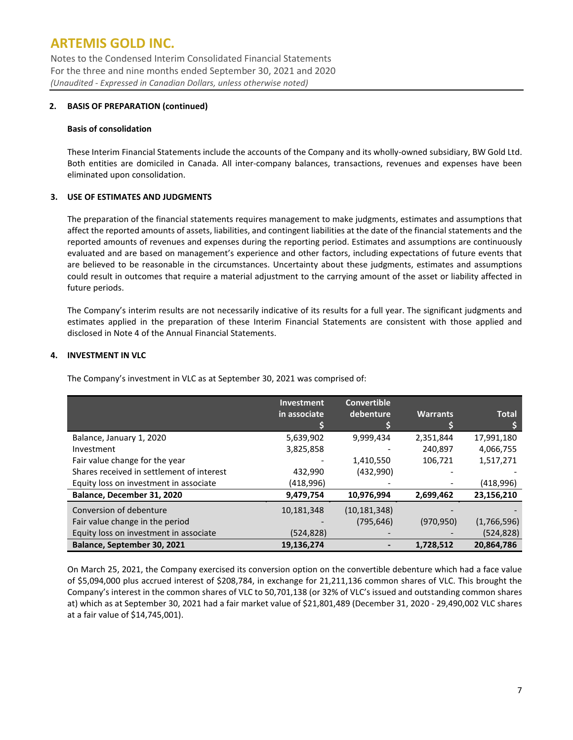Notes to the Condensed Interim Consolidated Financial Statements For the three and nine months ended September 30, 2021 and 2020 *(Unaudited - Expressed in Canadian Dollars, unless otherwise noted)*

#### **2. BASIS OF PREPARATION (continued)**

#### **Basis of consolidation**

These Interim Financial Statements include the accounts of the Company and its wholly-owned subsidiary, BW Gold Ltd. Both entities are domiciled in Canada. All inter-company balances, transactions, revenues and expenses have been eliminated upon consolidation.

### **3. USE OF ESTIMATES AND JUDGMENTS**

The preparation of the financial statements requires management to make judgments, estimates and assumptions that affect the reported amounts of assets, liabilities, and contingent liabilities at the date of the financial statements and the reported amounts of revenues and expenses during the reporting period. Estimates and assumptions are continuously evaluated and are based on management's experience and other factors, including expectations of future events that are believed to be reasonable in the circumstances. Uncertainty about these judgments, estimates and assumptions could result in outcomes that require a material adjustment to the carrying amount of the asset or liability affected in future periods.

The Company's interim results are not necessarily indicative of its results for a full year. The significant judgments and estimates applied in the preparation of these Interim Financial Statements are consistent with those applied and disclosed in Note 4 of the Annual Financial Statements.

### **4. INVESTMENT IN VLC**

The Company's investment in VLC as at September 30, 2021 was comprised of:

|                                           | <b>Investment</b> | <b>Convertible</b> |                 |              |
|-------------------------------------------|-------------------|--------------------|-----------------|--------------|
|                                           | in associate      | debenture          | <b>Warrants</b> | <b>Total</b> |
|                                           |                   |                    |                 |              |
| Balance, January 1, 2020                  | 5,639,902         | 9,999,434          | 2,351,844       | 17,991,180   |
| Investment                                | 3,825,858         |                    | 240,897         | 4,066,755    |
| Fair value change for the year            |                   | 1,410,550          | 106,721         | 1,517,271    |
| Shares received in settlement of interest | 432,990           | (432,990)          |                 |              |
| Equity loss on investment in associate    | (418,996)         |                    |                 | (418,996)    |
| Balance, December 31, 2020                | 9,479,754         | 10,976,994         | 2,699,462       | 23,156,210   |
| Conversion of debenture                   | 10,181,348        | (10, 181, 348)     |                 |              |
| Fair value change in the period           |                   | (795, 646)         | (970, 950)      | (1,766,596)  |
| Equity loss on investment in associate    | (524,828)         |                    |                 | (524, 828)   |
| Balance, September 30, 2021               | 19,136,274        |                    | 1,728,512       | 20,864,786   |

On March 25, 2021, the Company exercised its conversion option on the convertible debenture which had a face value of \$5,094,000 plus accrued interest of \$208,784, in exchange for 21,211,136 common shares of VLC. This brought the Company's interest in the common shares of VLC to 50,701,138 (or 32% of VLC's issued and outstanding common shares at) which as at September 30, 2021 had a fair market value of \$21,801,489 (December 31, 2020 - 29,490,002 VLC shares at a fair value of \$14,745,001).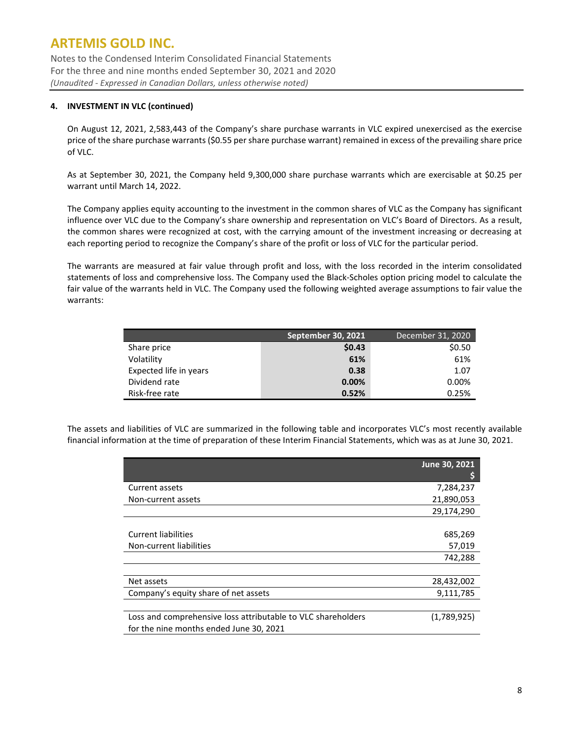Notes to the Condensed Interim Consolidated Financial Statements For the three and nine months ended September 30, 2021 and 2020 *(Unaudited - Expressed in Canadian Dollars, unless otherwise noted)*

### **4. INVESTMENT IN VLC (continued)**

On August 12, 2021, 2,583,443 of the Company's share purchase warrants in VLC expired unexercised as the exercise price of the share purchase warrants (\$0.55 per share purchase warrant) remained in excess of the prevailing share price of VLC.

As at September 30, 2021, the Company held 9,300,000 share purchase warrants which are exercisable at \$0.25 per warrant until March 14, 2022.

The Company applies equity accounting to the investment in the common shares of VLC as the Company has significant influence over VLC due to the Company's share ownership and representation on VLC's Board of Directors. As a result, the common shares were recognized at cost, with the carrying amount of the investment increasing or decreasing at each reporting period to recognize the Company's share of the profit or loss of VLC for the particular period.

The warrants are measured at fair value through profit and loss, with the loss recorded in the interim consolidated statements of loss and comprehensive loss. The Company used the Black-Scholes option pricing model to calculate the fair value of the warrants held in VLC. The Company used the following weighted average assumptions to fair value the warrants:

|                        | <b>September 30, 2021</b> | December 31, 2020 |
|------------------------|---------------------------|-------------------|
| Share price            | \$0.43                    | \$0.50            |
| Volatility             | 61%                       | 61%               |
| Expected life in years | 0.38                      | 1.07              |
| Dividend rate          | $0.00\%$                  | 0.00%             |
| Risk-free rate         | 0.52%                     | 0.25%             |

The assets and liabilities of VLC are summarized in the following table and incorporates VLC's most recently available financial information at the time of preparation of these Interim Financial Statements, which was as at June 30, 2021.

|                                                              | June 30, 2021 |
|--------------------------------------------------------------|---------------|
|                                                              |               |
| Current assets                                               | 7,284,237     |
| Non-current assets                                           | 21,890,053    |
|                                                              | 29,174,290    |
|                                                              |               |
| Current liabilities                                          | 685,269       |
| Non-current liabilities                                      | 57,019        |
|                                                              | 742,288       |
|                                                              |               |
| Net assets                                                   | 28,432,002    |
| Company's equity share of net assets                         | 9,111,785     |
|                                                              |               |
| Loss and comprehensive loss attributable to VLC shareholders | (1,789,925)   |
| for the nine months ended June 30, 2021                      |               |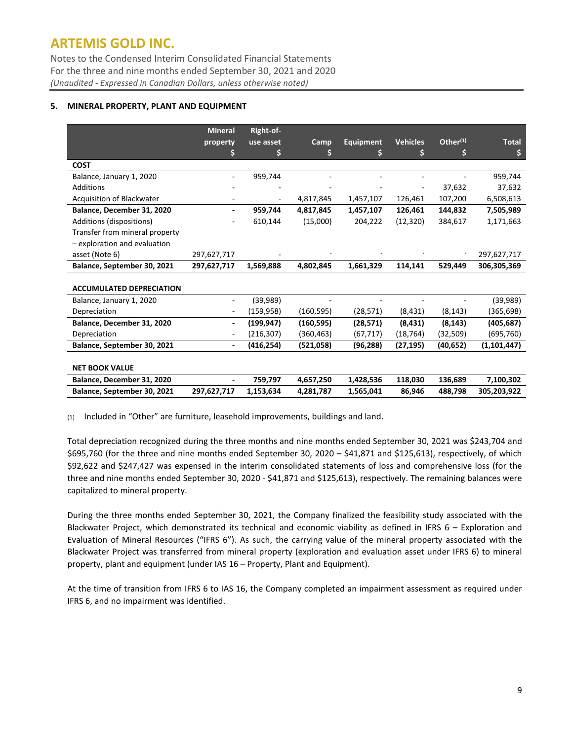Notes to the Condensed Interim Consolidated Financial Statements For the three and nine months ended September 30, 2021 and 2020 *(Unaudited - Expressed in Canadian Dollars, unless otherwise noted)*

### **5. MINERAL PROPERTY, PLANT AND EQUIPMENT**

|                                 | <b>Mineral</b>           | Right-of-  |             |                  |                 |                      |               |
|---------------------------------|--------------------------|------------|-------------|------------------|-----------------|----------------------|---------------|
|                                 | property                 | use asset  | <b>Camp</b> | <b>Equipment</b> | <b>Vehicles</b> | Other <sup>(1)</sup> | <b>Total</b>  |
|                                 |                          |            |             | s                | \$              | S                    | \$            |
| <b>COST</b>                     |                          |            |             |                  |                 |                      |               |
| Balance, January 1, 2020        |                          | 959,744    |             |                  |                 |                      | 959,744       |
| <b>Additions</b>                |                          |            |             |                  |                 | 37,632               | 37,632        |
| Acquisition of Blackwater       |                          |            | 4,817,845   | 1,457,107        | 126,461         | 107,200              | 6,508,613     |
| Balance, December 31, 2020      |                          | 959,744    | 4,817,845   | 1,457,107        | 126,461         | 144,832              | 7,505,989     |
| Additions (dispositions)        |                          | 610,144    | (15,000)    | 204,222          | (12, 320)       | 384,617              | 1,171,663     |
| Transfer from mineral property  |                          |            |             |                  |                 |                      |               |
| - exploration and evaluation    |                          |            |             |                  |                 |                      |               |
| asset (Note 6)                  | 297,627,717              |            |             |                  |                 |                      | 297,627,717   |
| Balance, September 30, 2021     | 297,627,717              | 1,569,888  | 4,802,845   | 1,661,329        | 114,141         | 529,449              | 306,305,369   |
|                                 |                          |            |             |                  |                 |                      |               |
| <b>ACCUMULATED DEPRECIATION</b> |                          |            |             |                  |                 |                      |               |
| Balance, January 1, 2020        | -                        | (39,989)   |             |                  |                 |                      | (39, 989)     |
| Depreciation                    | -                        | (159, 958) | (160, 595)  | (28, 571)        | (8, 431)        | (8, 143)             | (365, 698)    |
| Balance, December 31, 2020      | $\overline{\phantom{a}}$ | (199, 947) | (160, 595)  | (28, 571)        | (8, 431)        | (8, 143)             | (405, 687)    |
| Depreciation                    |                          | (216, 307) | (360, 463)  | (67, 717)        | (18, 764)       | (32, 509)            | (695,760)     |
| Balance, September 30, 2021     |                          | (416, 254) | (521,058)   | (96, 288)        | (27, 195)       | (40, 652)            | (1, 101, 447) |
|                                 |                          |            |             |                  |                 |                      |               |
| <b>NET BOOK VALUE</b>           |                          |            |             |                  |                 |                      |               |
| Balance, December 31, 2020      |                          | 759,797    | 4,657,250   | 1,428,536        | 118,030         | 136,689              | 7,100,302     |
| Balance, September 30, 2021     | 297,627,717              | 1,153,634  | 4,281,787   | 1,565,041        | 86,946          | 488,798              | 305,203,922   |

(1) Included in "Other" are furniture, leasehold improvements, buildings and land.

Total depreciation recognized during the three months and nine months ended September 30, 2021 was \$243,704 and \$695,760 (for the three and nine months ended September 30, 2020 – \$41,871 and \$125,613), respectively, of which \$92,622 and \$247,427 was expensed in the interim consolidated statements of loss and comprehensive loss (for the three and nine months ended September 30, 2020 - \$41,871 and \$125,613), respectively. The remaining balances were capitalized to mineral property.

During the three months ended September 30, 2021, the Company finalized the feasibility study associated with the Blackwater Project, which demonstrated its technical and economic viability as defined in IFRS 6 – Exploration and Evaluation of Mineral Resources ("IFRS 6"). As such, the carrying value of the mineral property associated with the Blackwater Project was transferred from mineral property (exploration and evaluation asset under IFRS 6) to mineral property, plant and equipment (under IAS 16 – Property, Plant and Equipment).

At the time of transition from IFRS 6 to IAS 16, the Company completed an impairment assessment as required under IFRS 6, and no impairment was identified.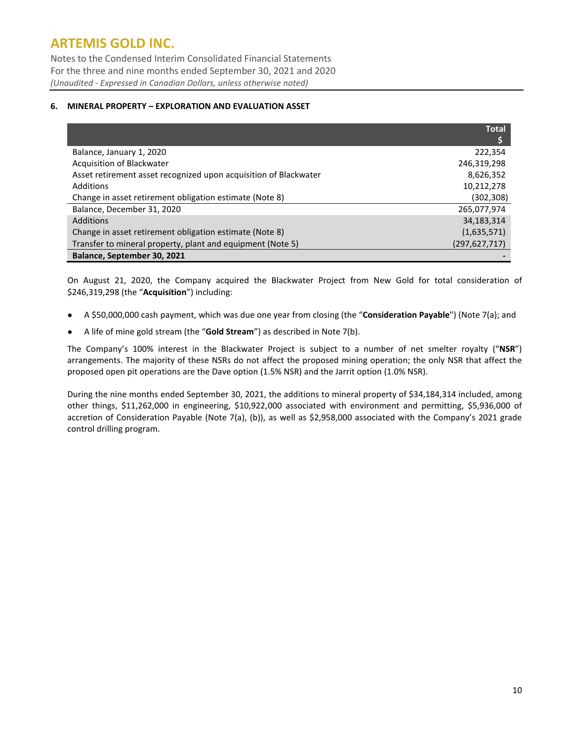Notes to the Condensed Interim Consolidated Financial Statements For the three and nine months ended September 30, 2021 and 2020 *(Unaudited - Expressed in Canadian Dollars, unless otherwise noted)*

#### **6. MINERAL PROPERTY – EXPLORATION AND EVALUATION ASSET**

|                                                                  | <b>Total</b>    |
|------------------------------------------------------------------|-----------------|
|                                                                  |                 |
| Balance, January 1, 2020                                         | 222,354         |
| Acquisition of Blackwater                                        | 246,319,298     |
| Asset retirement asset recognized upon acquisition of Blackwater | 8,626,352       |
| Additions                                                        | 10,212,278      |
| Change in asset retirement obligation estimate (Note 8)          | (302, 308)      |
| Balance, December 31, 2020                                       | 265,077,974     |
| Additions                                                        | 34,183,314      |
| Change in asset retirement obligation estimate (Note 8)          | (1,635,571)     |
| Transfer to mineral property, plant and equipment (Note 5)       | (297, 627, 717) |
| Balance, September 30, 2021                                      |                 |

On August 21, 2020, the Company acquired the Blackwater Project from New Gold for total consideration of \$246,319,298 (the "**Acquisition**") including:

- A \$50,000,000 cash payment, which was due one year from closing (the "**Consideration Payable**") (Note 7(a); and
- A life of mine gold stream (the "**Gold Stream**") as described in Note 7(b).

The Company's 100% interest in the Blackwater Project is subject to a number of net smelter royalty ("**NSR**") arrangements. The majority of these NSRs do not affect the proposed mining operation; the only NSR that affect the proposed open pit operations are the Dave option (1.5% NSR) and the Jarrit option (1.0% NSR).

During the nine months ended September 30, 2021, the additions to mineral property of \$34,184,314 included, among other things, \$11,262,000 in engineering, \$10,922,000 associated with environment and permitting, \$5,936,000 of accretion of Consideration Payable (Note 7(a), (b)), as well as \$2,958,000 associated with the Company's 2021 grade control drilling program.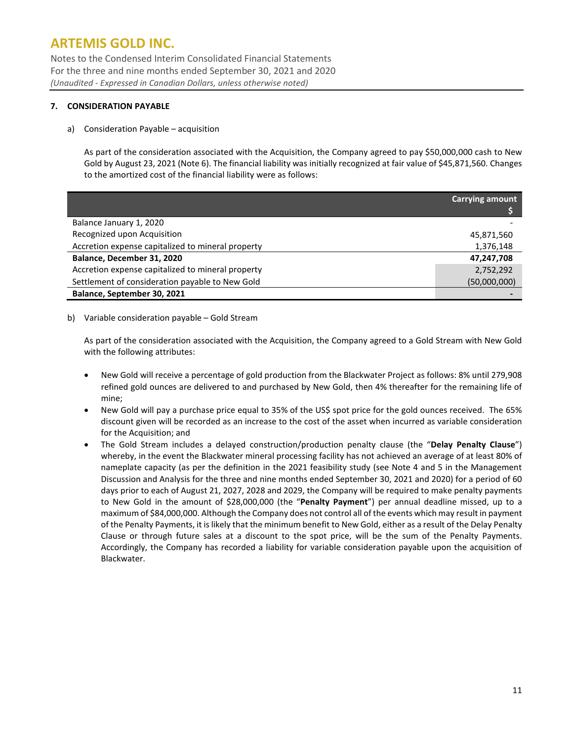Notes to the Condensed Interim Consolidated Financial Statements For the three and nine months ended September 30, 2021 and 2020 *(Unaudited - Expressed in Canadian Dollars, unless otherwise noted)*

### **7. CONSIDERATION PAYABLE**

### a) Consideration Payable – acquisition

As part of the consideration associated with the Acquisition, the Company agreed to pay \$50,000,000 cash to New Gold by August 23, 2021 (Note 6). The financial liability was initially recognized at fair value of \$45,871,560. Changes to the amortized cost of the financial liability were as follows:

|                                                   | <b>Carrying amount</b> |
|---------------------------------------------------|------------------------|
|                                                   |                        |
| Balance January 1, 2020                           |                        |
| Recognized upon Acquisition                       | 45,871,560             |
| Accretion expense capitalized to mineral property | 1,376,148              |
| Balance, December 31, 2020                        | 47,247,708             |
| Accretion expense capitalized to mineral property | 2,752,292              |
| Settlement of consideration payable to New Gold   | (50,000,000)           |
| Balance, September 30, 2021                       |                        |

#### b) Variable consideration payable – Gold Stream

As part of the consideration associated with the Acquisition, the Company agreed to a Gold Stream with New Gold with the following attributes:

- New Gold will receive a percentage of gold production from the Blackwater Project as follows: 8% until 279,908 refined gold ounces are delivered to and purchased by New Gold, then 4% thereafter for the remaining life of mine;
- New Gold will pay a purchase price equal to 35% of the US\$ spot price for the gold ounces received. The 65% discount given will be recorded as an increase to the cost of the asset when incurred as variable consideration for the Acquisition; and
- The Gold Stream includes a delayed construction/production penalty clause (the "**Delay Penalty Clause**") whereby, in the event the Blackwater mineral processing facility has not achieved an average of at least 80% of nameplate capacity (as per the definition in the 2021 feasibility study (see Note 4 and 5 in the Management Discussion and Analysis for the three and nine months ended September 30, 2021 and 2020) for a period of 60 days prior to each of August 21, 2027, 2028 and 2029, the Company will be required to make penalty payments to New Gold in the amount of \$28,000,000 (the "**Penalty Payment**") per annual deadline missed, up to a maximum of \$84,000,000. Although the Company does not control all of the events which may result in payment of the Penalty Payments, it is likely that the minimum benefit to New Gold, either as a result of the Delay Penalty Clause or through future sales at a discount to the spot price, will be the sum of the Penalty Payments. Accordingly, the Company has recorded a liability for variable consideration payable upon the acquisition of Blackwater.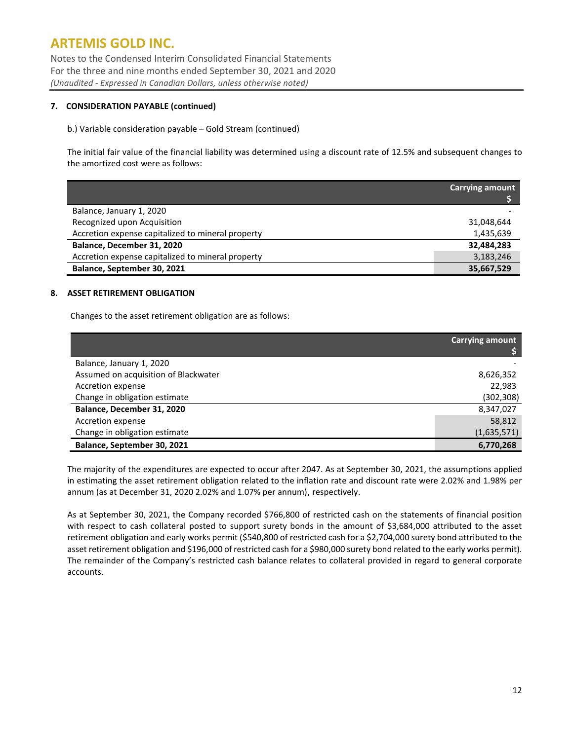Notes to the Condensed Interim Consolidated Financial Statements For the three and nine months ended September 30, 2021 and 2020 *(Unaudited - Expressed in Canadian Dollars, unless otherwise noted)*

### **7. CONSIDERATION PAYABLE (continued)**

#### b.) Variable consideration payable – Gold Stream (continued)

The initial fair value of the financial liability was determined using a discount rate of 12.5% and subsequent changes to the amortized cost were as follows:

|                                                   | <b>Carrying amount</b> |
|---------------------------------------------------|------------------------|
| Balance, January 1, 2020                          |                        |
| Recognized upon Acquisition                       | 31,048,644             |
| Accretion expense capitalized to mineral property | 1,435,639              |
| Balance, December 31, 2020                        | 32,484,283             |
| Accretion expense capitalized to mineral property | 3,183,246              |
| Balance, September 30, 2021                       | 35,667,529             |

#### **8. ASSET RETIREMENT OBLIGATION**

Changes to the asset retirement obligation are as follows:

|                                      | <b>Carrying amount</b> |
|--------------------------------------|------------------------|
| Balance, January 1, 2020             |                        |
| Assumed on acquisition of Blackwater | 8,626,352              |
| Accretion expense                    | 22.983                 |
| Change in obligation estimate        | (302, 308)             |
| Balance, December 31, 2020           | 8,347,027              |
| Accretion expense                    | 58,812                 |
| Change in obligation estimate        | (1,635,571)            |
| Balance, September 30, 2021          | 6,770,268              |

The majority of the expenditures are expected to occur after 2047. As at September 30, 2021, the assumptions applied in estimating the asset retirement obligation related to the inflation rate and discount rate were 2.02% and 1.98% per annum (as at December 31, 2020 2.02% and 1.07% per annum), respectively.

As at September 30, 2021, the Company recorded \$766,800 of restricted cash on the statements of financial position with respect to cash collateral posted to support surety bonds in the amount of \$3,684,000 attributed to the asset retirement obligation and early works permit (\$540,800 of restricted cash for a \$2,704,000 surety bond attributed to the asset retirement obligation and \$196,000 of restricted cash for a \$980,000 surety bond related to the early works permit). The remainder of the Company's restricted cash balance relates to collateral provided in regard to general corporate accounts.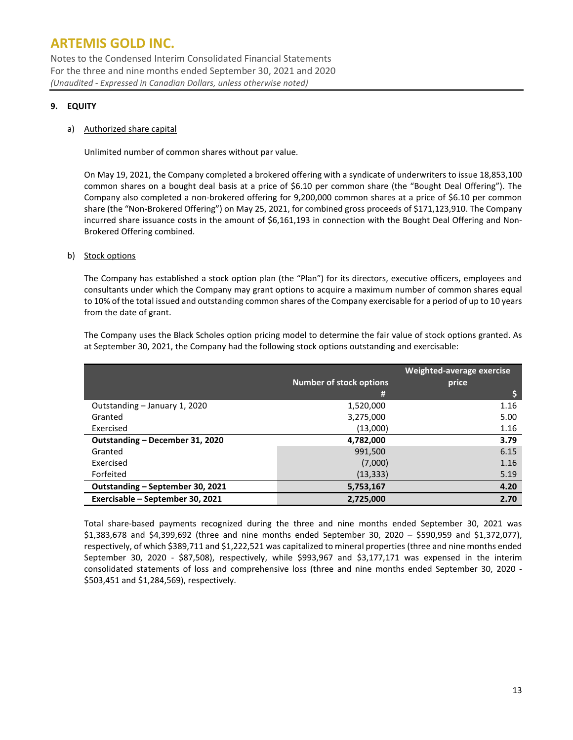Notes to the Condensed Interim Consolidated Financial Statements For the three and nine months ended September 30, 2021 and 2020 *(Unaudited - Expressed in Canadian Dollars, unless otherwise noted)*

### **9. EQUITY**

#### a) Authorized share capital

Unlimited number of common shares without par value.

On May 19, 2021, the Company completed a brokered offering with a syndicate of underwriters to issue 18,853,100 common shares on a bought deal basis at a price of \$6.10 per common share (the "Bought Deal Offering"). The Company also completed a non-brokered offering for 9,200,000 common shares at a price of \$6.10 per common share (the "Non-Brokered Offering") on May 25, 2021, for combined gross proceeds of \$171,123,910. The Company incurred share issuance costs in the amount of \$6,161,193 in connection with the Bought Deal Offering and Non-Brokered Offering combined.

#### b) Stock options

The Company has established a stock option plan (the "Plan") for its directors, executive officers, employees and consultants under which the Company may grant options to acquire a maximum number of common shares equal to 10% of the total issued and outstanding common shares of the Company exercisable for a period of up to 10 years from the date of grant.

The Company uses the Black Scholes option pricing model to determine the fair value of stock options granted. As at September 30, 2021, the Company had the following stock options outstanding and exercisable:

|                                  | Number of stock options | Weighted-average exercise<br>price |
|----------------------------------|-------------------------|------------------------------------|
|                                  | #                       | <b>S</b>                           |
| Outstanding - January 1, 2020    | 1,520,000               | 1.16                               |
| Granted                          | 3,275,000               | 5.00                               |
| Exercised                        | (13,000)                | 1.16                               |
| Outstanding - December 31, 2020  | 4,782,000               | 3.79                               |
| Granted                          | 991.500                 | 6.15                               |
| Exercised                        | (7,000)                 | 1.16                               |
| Forfeited                        | (13, 333)               | 5.19                               |
| Outstanding - September 30, 2021 | 5,753,167               | 4.20                               |
| Exercisable - September 30, 2021 | 2,725,000               | 2.70                               |

Total share-based payments recognized during the three and nine months ended September 30, 2021 was \$1,383,678 and \$4,399,692 (three and nine months ended September 30, 2020 – \$590,959 and \$1,372,077), respectively, of which \$389,711 and \$1,222,521 was capitalized to mineral properties (three and nine months ended September 30, 2020 - \$87,508), respectively, while \$993,967 and \$3,177,171 was expensed in the interim consolidated statements of loss and comprehensive loss (three and nine months ended September 30, 2020 - \$503,451 and \$1,284,569), respectively.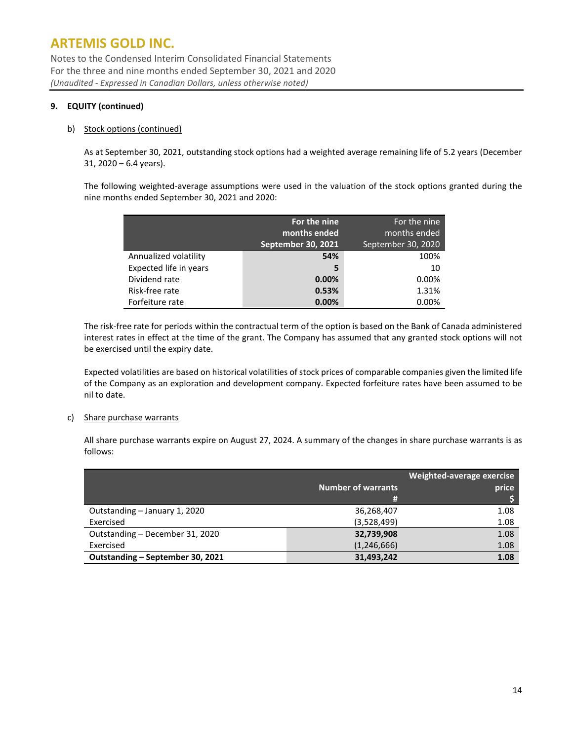Notes to the Condensed Interim Consolidated Financial Statements For the three and nine months ended September 30, 2021 and 2020 *(Unaudited - Expressed in Canadian Dollars, unless otherwise noted)*

### **9. EQUITY (continued)**

#### b) Stock options (continued)

As at September 30, 2021, outstanding stock options had a weighted average remaining life of 5.2 years (December 31, 2020 – 6.4 years).

The following weighted-average assumptions were used in the valuation of the stock options granted during the nine months ended September 30, 2021 and 2020:

|                        | For the nine<br>months ended | For the nine<br>months ended |
|------------------------|------------------------------|------------------------------|
|                        | September 30, 2021           | September 30, 2020           |
|                        |                              |                              |
| Annualized volatility  | 54%                          | 100%                         |
| Expected life in years | 5                            | 10                           |
| Dividend rate          | 0.00%                        | 0.00%                        |
| Risk-free rate         | 0.53%                        | 1.31%                        |
| Forfeiture rate        | 0.00%                        | 0.00%                        |

The risk-free rate for periods within the contractual term of the option is based on the Bank of Canada administered interest rates in effect at the time of the grant. The Company has assumed that any granted stock options will not be exercised until the expiry date.

Expected volatilities are based on historical volatilities of stock prices of comparable companies given the limited life of the Company as an exploration and development company. Expected forfeiture rates have been assumed to be nil to date.

#### c) Share purchase warrants

All share purchase warrants expire on August 27, 2024. A summary of the changes in share purchase warrants is as follows:

|                                  | Weighted-average exercise |       |  |
|----------------------------------|---------------------------|-------|--|
|                                  | <b>Number of warrants</b> | price |  |
|                                  | #                         |       |  |
| Outstanding - January 1, 2020    | 36,268,407                | 1.08  |  |
| Exercised                        | (3,528,499)               | 1.08  |  |
| Outstanding - December 31, 2020  | 32,739,908                | 1.08  |  |
| Exercised                        | (1, 246, 666)             | 1.08  |  |
| Outstanding – September 30, 2021 | 31,493,242                | 1.08  |  |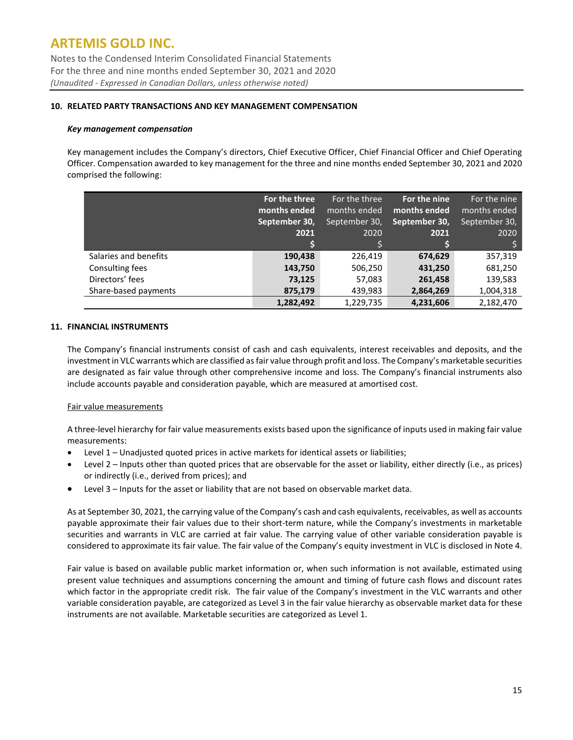Notes to the Condensed Interim Consolidated Financial Statements For the three and nine months ended September 30, 2021 and 2020 *(Unaudited - Expressed in Canadian Dollars, unless otherwise noted)*

#### **10. RELATED PARTY TRANSACTIONS AND KEY MANAGEMENT COMPENSATION**

#### *Key management compensation*

Key management includes the Company's directors, Chief Executive Officer, Chief Financial Officer and Chief Operating Officer. Compensation awarded to key management for the three and nine months ended September 30, 2021 and 2020 comprised the following:

|                       | For the three<br>months ended | For the three<br>months ended | For the nine<br>months ended | For the nine<br>months ended |
|-----------------------|-------------------------------|-------------------------------|------------------------------|------------------------------|
|                       | September 30,                 | September 30,                 | September 30,                | September 30,                |
|                       | 2021                          | 2020                          | 2021                         | 2020                         |
|                       |                               |                               |                              |                              |
| Salaries and benefits | 190,438                       | 226,419                       | 674,629                      | 357,319                      |
| Consulting fees       | 143,750                       | 506,250                       | 431,250                      | 681,250                      |
| Directors' fees       | 73,125                        | 57,083                        | 261,458                      | 139,583                      |
| Share-based payments  | 875,179                       | 439,983                       | 2,864,269                    | 1,004,318                    |
|                       | 1,282,492                     | 1,229,735                     | 4,231,606                    | 2,182,470                    |

#### **11. FINANCIAL INSTRUMENTS**

The Company's financial instruments consist of cash and cash equivalents, interest receivables and deposits, and the investment in VLC warrants which are classified as fair value through profit and loss. The Company's marketable securities are designated as fair value through other comprehensive income and loss. The Company's financial instruments also include accounts payable and consideration payable, which are measured at amortised cost.

#### Fair value measurements

A three-level hierarchy for fair value measurements exists based upon the significance of inputs used in making fair value measurements:

- Level 1 Unadjusted quoted prices in active markets for identical assets or liabilities;
- Level 2 Inputs other than quoted prices that are observable for the asset or liability, either directly (i.e., as prices) or indirectly (i.e., derived from prices); and
- Level 3 Inputs for the asset or liability that are not based on observable market data.

As at September 30, 2021, the carrying value of the Company's cash and cash equivalents, receivables, as well as accounts payable approximate their fair values due to their short-term nature, while the Company's investments in marketable securities and warrants in VLC are carried at fair value. The carrying value of other variable consideration payable is considered to approximate its fair value. The fair value of the Company's equity investment in VLC is disclosed in Note 4.

Fair value is based on available public market information or, when such information is not available, estimated using present value techniques and assumptions concerning the amount and timing of future cash flows and discount rates which factor in the appropriate credit risk. The fair value of the Company's investment in the VLC warrants and other variable consideration payable, are categorized as Level 3 in the fair value hierarchy as observable market data for these instruments are not available. Marketable securities are categorized as Level 1.